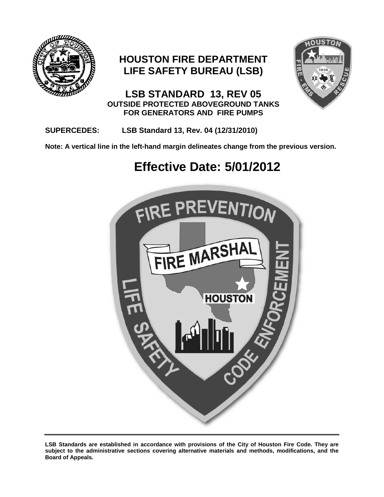

### **HOUSTON FIRE DEPARTMENT LIFE SAFETY BUREAU (LSB)**



**LSB STANDARD 13, REV 05 OUTSIDE PROTECTED ABOVEGROUND TANKS FOR GENERATORS AND FIRE PUMPS**

#### **SUPERCEDES: LSB Standard 13, Rev. 04 (12/31/2010)**

**Note: A vertical line in the left-hand margin delineates change from the previous version.**

## **Effective Date: 5/01/2012**



**LSB Standards are established in accordance with provisions of the City of Houston Fire Code. They are subject to the administrative sections covering alternative materials and methods, modifications, and the Board of Appeals.**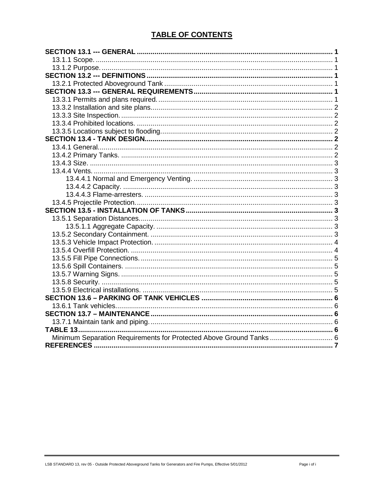#### **TABLE OF CONTENTS**

| Minimum Separation Requirements for Protected Above Ground Tanks 6 |  |
|--------------------------------------------------------------------|--|
|                                                                    |  |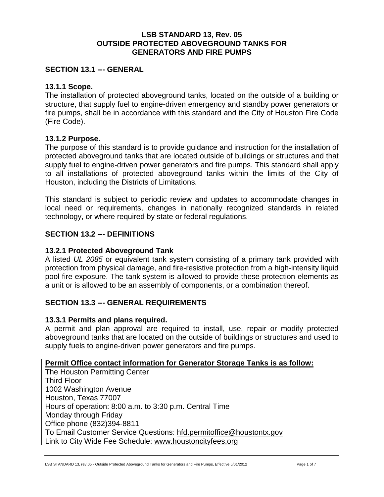#### **LSB STANDARD 13, Rev. 05 OUTSIDE PROTECTED ABOVEGROUND TANKS FOR GENERATORS AND FIRE PUMPS**

#### <span id="page-2-0"></span>**SECTION 13.1 --- GENERAL**

#### <span id="page-2-1"></span>**13.1.1 Scope.**

The installation of protected aboveground tanks, located on the outside of a building or structure, that supply fuel to engine-driven emergency and standby power generators or fire pumps, shall be in accordance with this standard and the City of Houston Fire Code (Fire Code).

#### <span id="page-2-2"></span>**13.1.2 Purpose.**

The purpose of this standard is to provide guidance and instruction for the installation of protected aboveground tanks that are located outside of buildings or structures and that supply fuel to engine-driven power generators and fire pumps. This standard shall apply to all installations of protected aboveground tanks within the limits of the City of Houston, including the Districts of Limitations.

This standard is subject to periodic review and updates to accommodate changes in local need or requirements, changes in nationally recognized standards in related technology, or where required by state or federal regulations.

#### <span id="page-2-3"></span>**SECTION 13.2 --- DEFINITIONS**

#### <span id="page-2-4"></span>**13.2.1 Protected Aboveground Tank**

A listed *UL 2085* or equivalent tank system consisting of a primary tank provided with protection from physical damage, and fire-resistive protection from a high-intensity liquid pool fire exposure. The tank system is allowed to provide these protection elements as a unit or is allowed to be an assembly of components, or a combination thereof.

#### <span id="page-2-5"></span>**SECTION 13.3 --- GENERAL REQUIREMENTS**

#### <span id="page-2-6"></span>**13.3.1 Permits and plans required.**

A permit and plan approval are required to install, use, repair or modify protected aboveground tanks that are located on the outside of buildings or structures and used to supply fuels to engine-driven power generators and fire pumps.

#### **Permit Office contact information for Generator Storage Tanks is as follow:**

The Houston Permitting Center Third Floor 1002 Washington Avenue Houston, Texas 77007 Hours of operation: 8:00 a.m. to 3:30 p.m. Central Time Monday through Friday Office phone (832)394-8811 To Email Customer Service Questions: [hfd.permitoffice@houstontx.gov](mailto:hfd.permitoffice@houstontx.gov) Link to City Wide Fee Schedule: [www.houstoncityfees.org](http://www.houstoncityfees.org/)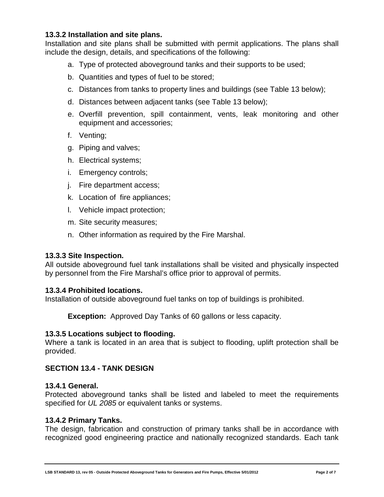#### <span id="page-3-0"></span>**13.3.2 Installation and site plans.**

Installation and site plans shall be submitted with permit applications. The plans shall include the design, details, and specifications of the following:

- a. Type of protected aboveground tanks and their supports to be used;
- b. Quantities and types of fuel to be stored;
- c. Distances from tanks to property lines and buildings (see Table 13 below);
- d. Distances between adjacent tanks (see Table 13 below);
- e. Overfill prevention, spill containment, vents, leak monitoring and other equipment and accessories;
- f. Venting;
- g. Piping and valves;
- h. Electrical systems;
- i. Emergency controls;
- j. Fire department access;
- k. Location of fire appliances;
- l. Vehicle impact protection;
- m. Site security measures;
- n. Other information as required by the Fire Marshal.

#### <span id="page-3-1"></span>**13.3.3 Site Inspection.**

All outside aboveground fuel tank installations shall be visited and physically inspected by personnel from the Fire Marshal's office prior to approval of permits.

#### <span id="page-3-2"></span>**13.3.4 Prohibited locations.**

Installation of outside aboveground fuel tanks on top of buildings is prohibited.

**Exception:** Approved Day Tanks of 60 gallons or less capacity.

#### <span id="page-3-3"></span>**13.3.5 Locations subject to flooding.**

Where a tank is located in an area that is subject to flooding, uplift protection shall be provided.

#### <span id="page-3-4"></span>**SECTION 13.4 - TANK DESIGN**

#### <span id="page-3-5"></span>**13.4.1 General.**

Protected aboveground tanks shall be listed and labeled to meet the requirements specified for *UL 2085* or equivalent tanks or systems.

#### <span id="page-3-6"></span>**13.4.2 Primary Tanks.**

The design, fabrication and construction of primary tanks shall be in accordance with recognized good engineering practice and nationally recognized standards. Each tank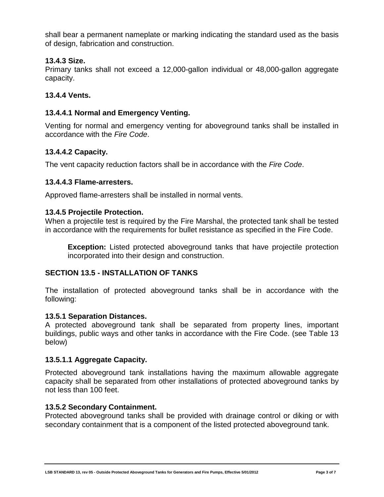shall bear a permanent nameplate or marking indicating the standard used as the basis of design, fabrication and construction.

#### <span id="page-4-0"></span>**13.4.3 Size.**

Primary tanks shall not exceed a 12,000-gallon individual or 48,000-gallon aggregate capacity.

#### <span id="page-4-1"></span>**13.4.4 Vents.**

#### <span id="page-4-2"></span>**13.4.4.1 Normal and Emergency Venting.**

Venting for normal and emergency venting for aboveground tanks shall be installed in accordance with the *Fire Code*.

#### <span id="page-4-3"></span>**13.4.4.2 Capacity.**

The vent capacity reduction factors shall be in accordance with the *Fire Code*.

#### <span id="page-4-4"></span>**13.4.4.3 Flame-arresters.**

Approved flame-arresters shall be installed in normal vents.

#### <span id="page-4-5"></span>**13.4.5 Projectile Protection.**

When a projectile test is required by the Fire Marshal, the protected tank shall be tested in accordance with the requirements for bullet resistance as specified in the Fire Code.

**Exception:** Listed protected aboveground tanks that have projectile protection incorporated into their design and construction.

#### <span id="page-4-6"></span>**SECTION 13.5 - INSTALLATION OF TANKS**

The installation of protected aboveground tanks shall be in accordance with the following:

#### <span id="page-4-7"></span>**13.5.1 Separation Distances.**

A protected aboveground tank shall be separated from property lines, important buildings, public ways and other tanks in accordance with the Fire Code. (see Table 13 below)

#### <span id="page-4-8"></span>**13.5.1.1 Aggregate Capacity.**

Protected aboveground tank installations having the maximum allowable aggregate capacity shall be separated from other installations of protected aboveground tanks by not less than 100 feet.

#### <span id="page-4-9"></span>**13.5.2 Secondary Containment.**

Protected aboveground tanks shall be provided with drainage control or diking or with secondary containment that is a component of the listed protected aboveground tank.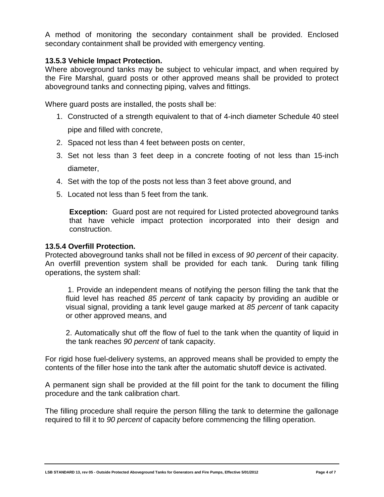A method of monitoring the secondary containment shall be provided. Enclosed secondary containment shall be provided with emergency venting.

#### <span id="page-5-0"></span>**13.5.3 Vehicle Impact Protection.**

Where aboveground tanks may be subject to vehicular impact, and when required by the Fire Marshal, guard posts or other approved means shall be provided to protect aboveground tanks and connecting piping, valves and fittings.

Where guard posts are installed, the posts shall be:

- 1. Constructed of a strength equivalent to that of 4-inch diameter Schedule 40 steel pipe and filled with concrete,
- 2. Spaced not less than 4 feet between posts on center,
- 3. Set not less than 3 feet deep in a concrete footing of not less than 15-inch diameter,
- 4. Set with the top of the posts not less than 3 feet above ground, and
- 5. Located not less than 5 feet from the tank.

**Exception:** Guard post are not required for Listed protected aboveground tanks that have vehicle impact protection incorporated into their design and construction.

#### <span id="page-5-1"></span>**13.5.4 Overfill Protection.**

Protected aboveground tanks shall not be filled in excess of *90 percent* of their capacity. An overfill prevention system shall be provided for each tank. During tank filling operations, the system shall:

1. Provide an independent means of notifying the person filling the tank that the fluid level has reached *85 percent* of tank capacity by providing an audible or visual signal, providing a tank level gauge marked at *85 percent* of tank capacity or other approved means, and

2. Automatically shut off the flow of fuel to the tank when the quantity of liquid in the tank reaches *90 percent* of tank capacity.

For rigid hose fuel-delivery systems, an approved means shall be provided to empty the contents of the filler hose into the tank after the automatic shutoff device is activated.

A permanent sign shall be provided at the fill point for the tank to document the filling procedure and the tank calibration chart.

The filling procedure shall require the person filling the tank to determine the gallonage required to fill it to *90 percent* of capacity before commencing the filling operation.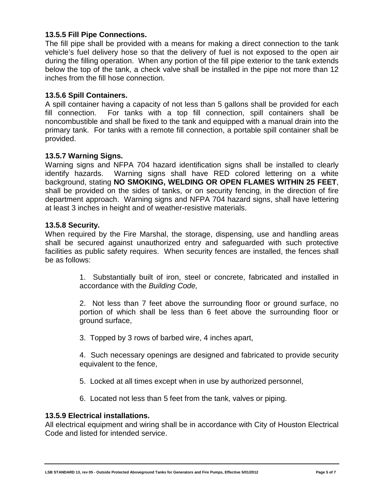#### <span id="page-6-0"></span>**13.5.5 Fill Pipe Connections.**

The fill pipe shall be provided with a means for making a direct connection to the tank vehicle's fuel delivery hose so that the delivery of fuel is not exposed to the open air during the filling operation. When any portion of the fill pipe exterior to the tank extends below the top of the tank, a check valve shall be installed in the pipe not more than 12 inches from the fill hose connection.

#### <span id="page-6-1"></span>**13.5.6 Spill Containers.**

A spill container having a capacity of not less than 5 gallons shall be provided for each fill connection. For tanks with a top fill connection, spill containers shall be noncombustible and shall be fixed to the tank and equipped with a manual drain into the primary tank. For tanks with a remote fill connection, a portable spill container shall be provided.

#### <span id="page-6-2"></span>**13.5.7 Warning Signs.**

Warning signs and NFPA 704 hazard identification signs shall be installed to clearly identify hazards. Warning signs shall have RED colored lettering on a white background, stating **NO SMOKING, WELDING OR OPEN FLAMES WITHIN 25 FEET**, shall be provided on the sides of tanks, or on security fencing, in the direction of fire department approach. Warning signs and NFPA 704 hazard signs, shall have lettering at least 3 inches in height and of weather-resistive materials.

#### <span id="page-6-3"></span>**13.5.8 Security.**

When required by the Fire Marshal, the storage, dispensing, use and handling areas shall be secured against unauthorized entry and safeguarded with such protective facilities as public safety requires. When security fences are installed, the fences shall be as follows:

> 1. Substantially built of iron, steel or concrete, fabricated and installed in accordance with the *Building Code,*

> 2. Not less than 7 feet above the surrounding floor or ground surface, no portion of which shall be less than 6 feet above the surrounding floor or ground surface,

3. Topped by 3 rows of barbed wire, 4 inches apart,

4. Such necessary openings are designed and fabricated to provide security equivalent to the fence,

- 5. Locked at all times except when in use by authorized personnel,
- 6. Located not less than 5 feet from the tank, valves or piping.

#### <span id="page-6-4"></span>**13.5.9 Electrical installations.**

All electrical equipment and wiring shall be in accordance with City of Houston Electrical Code and listed for intended service.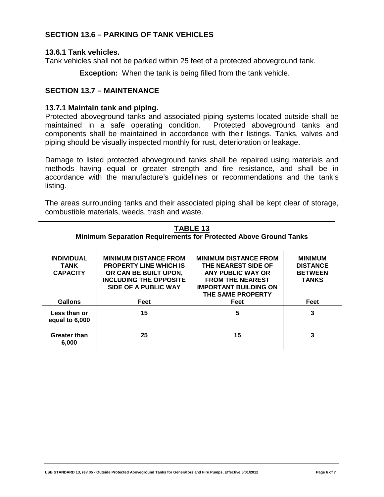#### <span id="page-7-0"></span>**SECTION 13.6 – PARKING OF TANK VEHICLES**

#### <span id="page-7-1"></span>**13.6.1 Tank vehicles.**

Tank vehicles shall not be parked within 25 feet of a protected aboveground tank.

**Exception:** When the tank is being filled from the tank vehicle.

#### <span id="page-7-2"></span>**SECTION 13.7 – MAINTENANCE**

#### <span id="page-7-3"></span>**13.7.1 Maintain tank and piping.**

Protected aboveground tanks and associated piping systems located outside shall be maintained in a safe operating condition. Protected aboveground tanks and components shall be maintained in accordance with their listings. Tanks, valves and piping should be visually inspected monthly for rust, deterioration or leakage.

Damage to listed protected aboveground tanks shall be repaired using materials and methods having equal or greater strength and fire resistance, and shall be in accordance with the manufacture's guidelines or recommendations and the tank's listing.

The areas surrounding tanks and their associated piping shall be kept clear of storage, combustible materials, weeds, trash and waste.

<span id="page-7-5"></span><span id="page-7-4"></span>

| IADLE 13<br>Minimum Separation Requirements for Protected Above Ground Tanks |                                                                                                                                                 |                                                                                                                                                          |                                                                     |  |
|------------------------------------------------------------------------------|-------------------------------------------------------------------------------------------------------------------------------------------------|----------------------------------------------------------------------------------------------------------------------------------------------------------|---------------------------------------------------------------------|--|
| <b>INDIVIDUAL</b><br><b>TANK</b><br><b>CAPACITY</b>                          | <b>MINIMUM DISTANCE FROM</b><br><b>PROPERTY LINE WHICH IS</b><br>OR CAN BE BUILT UPON,<br><b>INCLUDING THE OPPOSITE</b><br>SIDE OF A PUBLIC WAY | <b>MINIMUM DISTANCE FROM</b><br>THE NEAREST SIDE OF<br>ANY PUBLIC WAY OR<br><b>FROM THE NEAREST</b><br><b>IMPORTANT BUILDING ON</b><br>THE SAME PROPERTY | <b>MINIMUM</b><br><b>DISTANCE</b><br><b>BETWEEN</b><br><b>TANKS</b> |  |
| <b>Gallons</b>                                                               | Feet                                                                                                                                            | Feet                                                                                                                                                     | Feet                                                                |  |
| Less than or<br>equal to 6,000                                               | 15                                                                                                                                              | 5                                                                                                                                                        | 3                                                                   |  |
| <b>Greater than</b><br>6.000                                                 | 25                                                                                                                                              | 15                                                                                                                                                       | 3                                                                   |  |

# **TABLE 13**